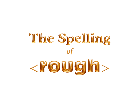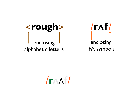



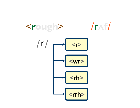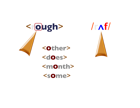

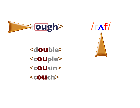



<**double**> <**couple**> <**cousin**> <**touch**>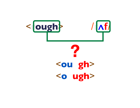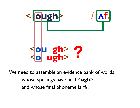

We need to assemble an evidence bank of words whose spellings have final <**ugh**> and whose final phoneme is /**f**/.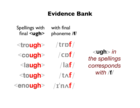#### **Evidence Bank**

Spellings with final <**ugh**>

with final phoneme /**f**/

<**trough**>

<**cough**> /**cɒf**/

<**laugh**>

<**tough**> /**tᴧf**/

<**enough**> /**ɪ**ˈ**nᴧf**/

/**trɒf**/

/**laf**/

<trough> /trpf/<br>
<cough> /cpf/ <br>
depellings<br>
<br>
depellings<br>
<br>
depelling<br>
depty<br>
depty<br>
depty<br>
depty<br>
depty<br>
depty<br>
depty<br>
depty<br>
depty<br>
depty<br>
depty<br>
depty<br>
depty<br>
depty<br>
depty<br>
depty<br>
depty<br>
depty<br>
depty<br>
depty<br>
depty<br>
dep **in the spellings** *corresponds*  <**ugh**> *in the spellings with* /**f**/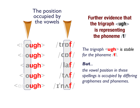

**Further evidence that the trigraph <ugh> is representing the phoneme /f/**

*The trigraph <***ugh***> is stable for the phoneme /***f***/.*

#### *But...*

*the vowel position in these spellings is occupied by differing graphemes and phonemes.*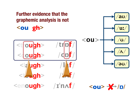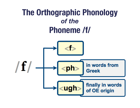## **The Orthographic Phonology**  *of the*  **Phoneme /f/**

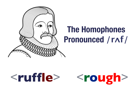

## **The Homophones Pronounced /rᴧf/**

# <**ruffle**> > <**rough**>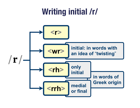#### **Writing initial /r/** $<$ r $>$ initial: in words with  $<\omega r$ an idea of "twisting"  $\vert \mathbf{r} \vert$ only<br>initial  $<$ rh> in words of **Greek origin** medial  $\langle$ rrh> or final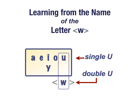## **Learning from the Name**  *of the*  **Letter <w>**

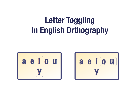## **Letter Toggling In English Orthography**



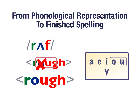## **From Phonological Representation To Finished Spelling**